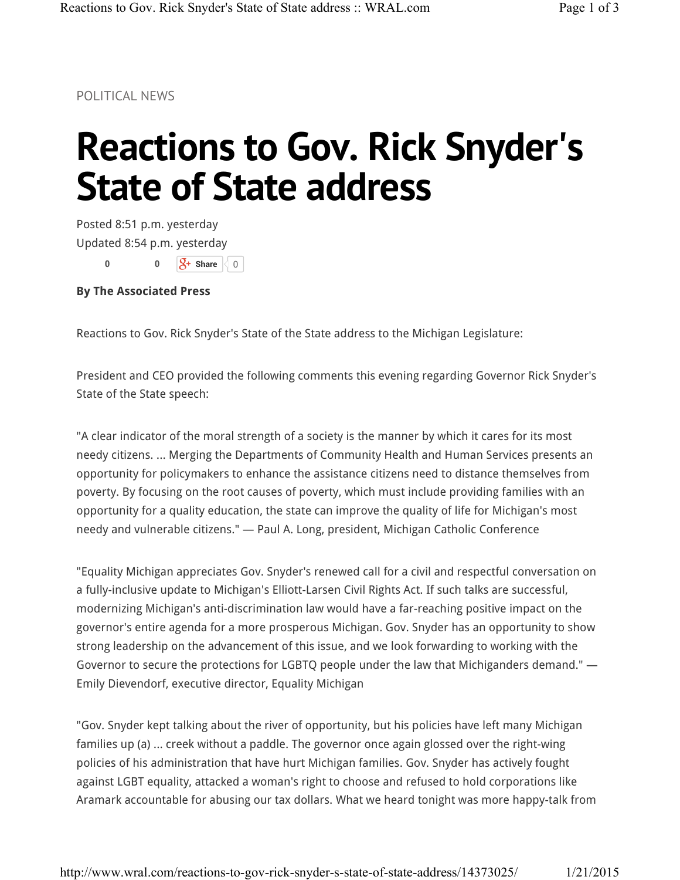POLITICAL NEWS

## **Reactions to Gov. Rick Snyder's State of State address**

Posted 8:51 p.m. yesterday Updated 8:54 p.m. yesterday  $\mathcal{S}$ + Share  $\langle 0 \rangle$ **0 0**

**By The Associated Press**

Reactions to Gov. Rick Snyder's State of the State address to the Michigan Legislature:

President and CEO provided the following comments this evening regarding Governor Rick Snyder's State of the State speech:

"A clear indicator of the moral strength of a society is the manner by which it cares for its most needy citizens. ... Merging the Departments of Community Health and Human Services presents an opportunity for policymakers to enhance the assistance citizens need to distance themselves from poverty. By focusing on the root causes of poverty, which must include providing families with an opportunity for a quality education, the state can improve the quality of life for Michigan's most needy and vulnerable citizens." — Paul A. Long, president, Michigan Catholic Conference

"Equality Michigan appreciates Gov. Snyder's renewed call for a civil and respectful conversation on a fully-inclusive update to Michigan's Elliott-Larsen Civil Rights Act. If such talks are successful, modernizing Michigan's anti-discrimination law would have a far-reaching positive impact on the governor's entire agenda for a more prosperous Michigan. Gov. Snyder has an opportunity to show strong leadership on the advancement of this issue, and we look forwarding to working with the Governor to secure the protections for LGBTQ people under the law that Michiganders demand." — Emily Dievendorf, executive director, Equality Michigan

"Gov. Snyder kept talking about the river of opportunity, but his policies have left many Michigan families up (a) ... creek without a paddle. The governor once again glossed over the right-wing policies of his administration that have hurt Michigan families. Gov. Snyder has actively fought against LGBT equality, attacked a woman's right to choose and refused to hold corporations like Aramark accountable for abusing our tax dollars. What we heard tonight was more happy-talk from